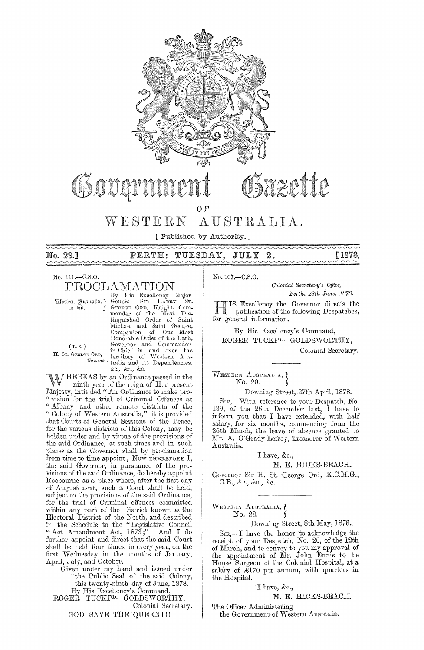

Suzette

OF

#### AUSTRALIA. WESTERN

[Published by Authority.]

No. 29.1

#### PERTH: TUESDAY, JULY

# [1878.

# No. 111.-C.S.O. PROCLAMATION

Wlestern Justralia, ? to wit.

 $(L.s.)$ H. Sr. GEORGE ORD,

By His Excellency Major-General SIR HARRY Cererar One, Knight Com-<br>mander of the Most Dis-<br>tinguished Order of Saint<br>Michael and Saint George,<br>Companion of Our Most Honorable Order of the Bath, Governor and Commander-<br>in-Chief in and over the<br>E ORD, in-Chief in and over the<br>Governor tralia and its Dependencies, &c., &c., &c.

HEREAS by an Ordinance passed in the ninth year of the reign of Her present Majesty, intituled "An Ordinance to make pro-"vision for the trial of Criminal Offences at<br>"Albany and other remote districts of the<br>"Colony of Western Australia," it is provided that Courts of General Sessions of the Peace, for the various districts of this Colony, may be holden under and by virtue of the provisions of the said Ordinance, at such times and in such places as the Governor shall by proclamation from time to time appoint; Now THEREFORE I, the said Governor, in pursuance of the provisions of the said Ordinance, do hereby appoint Roebourne as a place where, after the first day of August next, such a Court shall be held, subject to the provisions of the said Ordinance, for the trial of Criminal offences committed within any part of the District known as the<br>Electoral District of the North, and described<br>in the Schedule to the "Legislative Council"<br>Act Amendment Act, 1873;" And I do further appoint and direct that the said Court shall be held four times in every year, on the first Wednesday in the months of January, April, July, and October.

Given under my hand and issued under<br>the Public Seal of the said Colony, this twenty-ninth day of June, 1878. By His Excellency's Command, ROGEŘ TUCKF<sup>D.</sup> GOLDSWORTHY, Colonial Secretary. GOD SAVE THE QUEEN!!!

No. 107 .- C.S.O.

Colonial Secretary's Office, Perth, 28th June, 1878.

IS Excellency the Governor directs the publication of the following Despatches, for general information.

 $\overline{2}$  .

By His Excellency's Command, ROGER TUCKF<sup>D.</sup> GOLDSWORTHY,

Colonial Secretary.

WESTERN AUSTRALIA, ) No. 20.

Downing Street, 27th April, 1878.

SIR,-With reference to your Despatch, No. 139, of the 26th December last, I have to<br>inform you that I have extended, with half salary, for six months, commencing from the 26th March, the leave of absence granted to Mr. A. O'Grady Lefroy, Treasurer of Western Australia.

I have, &c.,

M. E. HICKS-BEACH.

Governor Sir H. St. George Ord, K.C.M.G., C.B., &c., &c., &c.

WESTERN AUSTRALIA, }<br>No. 22.

Downing Street, 8th May, 1878.

Sr<br/>R,—I have the honor to acknowledge the receipt of your Despatch, No.<br/>  $20,$  of the  $12\mathrm{th}$ of March, and to convey to you my approval of<br>the appointment of Mr. John Ennis to be<br>House Surgeon of the Colonial Hospital, at a salary of  $\mathcal{L}170$  per annum, with quarters in the Hospital.

I have, &c.,

M. E. HICKS-BEACH.

The Officer Administering

the Government of Western Australia.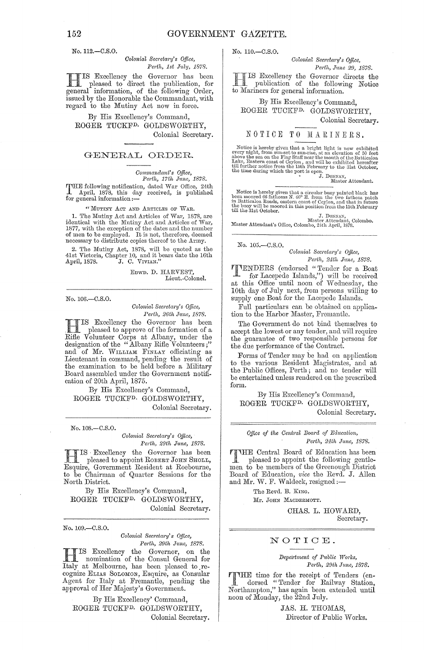No. 112.-C.S.O.

Colonial Secretary's Office. Perth, 1st July, 1878.

IS Excellency the Governor has been pleased to direct the publication, for<br>general information, of the following Order,<br>issued by the Honorable the Commandant, with regard to the Mutiny Act now in force.

By His Excellency's Command, ROGER TUCKF<sup>D.</sup> GOLDSWORTHY. Colonial Secretary.

### GENERAL ORDER.

Commandant's Office, Perth, 17th June, 1878.

THE following notification, dated War Office, 24th A pril, 1878, this day received, is published for general information:-

"MUTINY ACT AND ARTICLES OF WAR.

1. The Mutiny Act and Articles of War, 1878, are 1. The mutual actual methods of war, 1076, are<br>identical with the Mutiny Act and Articles of War,<br>1877, with the exception of the dates and the number<br>of men to be employed. It is not, therefore, deemed<br>necessary to distri

2. The Mutiny Act, 1878, will be quoted as the 41st Victoria, Chapter 10, and it bears date the 16th April, 1878.  $\qquad$  J. C. VIVIAN."

EDWD. D. HARVEST, Lieut.-Colonel.

No. 106 .- 0.S.O.

Colonial Secretary's Office, Perth, 26th June, 1878.

IS Excellency the Governor has been pleased to approve of the formation of a Rifle Volunteer Corps at Albany, under the designation of the "Albany Rifle Volunteers;" and of Mr. WILLIAM FINLAY officiating as<br>Lieutenant in command, pending the result of the examination to be held before a Military Board assembled under the Government notification of 20th April, 1875.

By His Excellency's Command, ROGER TUCKF<sup>D</sup> GOLDSWORTHY, Colonial Secretary.

No. 108 .- C.S.O.

Colonial Secretary's Office, Perth, 29th June, 1878.

 $\begin{array}{|c|c|c|c|c|}\n\hline\n\textbf{I} & \textbf{I} & \textbf{B}' & \textbf{B}' & \textbf{B}' & \textbf{B}' & \textbf{B}' & \textbf{B}' & \textbf{B}' \\
\hline\n\textbf{I} & \textbf{I} & \textbf{B} & \textbf{B} & \textbf{B} & \textbf{B} & \textbf{B} & \textbf{B} & \textbf{B} \\
\hline\n\textbf{I} & \textbf{B} & \textbf{B} & \textbf{B} & \textbf{B} & \textbf{B} & \textbf{B} & \textbf{B} & \textbf{B} & \$ pleased to appoint ROBERT JOHN SHOLL, Esquire, Government Resident at Roebourne, to be Chairman of Quarter Sessions for the North District.

By His Excellency's Command, ROGER TUCKF<sup>D.</sup> GOLDSWORTHY, Colonial Secretary.

No. 109 .- C.S.O.

### Colonial Secretary's Office, Perth, 29th June, 1878.

IS Excellency the Governor, on the I nomination of the Consul General for<br>Italy at Melbourne, has been pleased to recognize ELIAS SOLOMON, Esquire, as Consular Agent for Italy at Fremantle, pending the approval of Her Majesty's Government.

By His Excellency' Command, ROGER TUCKF<sup>D.</sup> GOLDSWORTHY, Colonial Secretary. No. 110.-C.S.O.

Colonial Secretary's Office, Perth, June 29, 1878.

IS Excellency the Governor directs the publication of the following Notice to Mariners for general information.

By His Excellency's Command, ROGER TUCKF<sup>D.</sup> GOLDSWORTHY.

Colonial Secretary.

# NOTICE TO MARINERS.

Notice is hereby given that a bright light is now exhibited every night, from sun-set to sun-rise, at an elevation of 50 feet above the sea on the Flag Staff near the mouth of the Batticaloa Lill further notice from the 1

Notice is hereby given that a circular buoy painted black has<br>been moored 66 fathoms N. 60<sup>o</sup> E. from the two fathom patch<br>in Batticaloa Roads, eastern coast of Ceylon, and that in future<br>the buoy will be moored in this p

J. DONNAN,<br>Master Attendant's Office, Colombo, 24th April, 1878.

No. 105.-C.S.O.

Colonial Secretary's Office, Perth, 24th June, 1878.

**TENDERS** (endorsed "Tender for a Boat<br>for Lacepede Islands,") will be received<br>at this Office until noon of Wednesday, the 10th day of July next, from persons willing to supply one Boat for the Lacepede Islands.

Full particulars can be obtained on application to the Harbor Master, Fremantle.

The Government do not bind themselves to accept the lowest or any tender, and will require the guarantee of two responsible persons for<br>the due performance of the Contract.

Forms of Tender may be had on application to the various Resident Magistrates, and at the Public Offices, Perth; and no tender will be entertained unless rendered on the prescribed form.

By His Excellency's Command, ROGER TUCKF<sup>D.</sup> GOLDSWORTHY. Colonial Secretary.

Office of the Central Board of Education, Perth, 24th June, 1878.

TTHE Central Board of Education has been pleased to appoint the following gentle-<br>men to be members of the Greenough District Board of Education, vice the Revd. J. Allen and Mr. W. F. Waldeck, resigned :-

The Revd. B. King.

Mr. JOHN MACDERMOTT.

CHAS. L. HOWARD, Secretary.

## NOTICE.

### Department of Public Works, Perth, 29th June, 1878.

TTHE time for the receipt of Tenders (en-<br>dorsed "Tender for Railway Station, Northampton," has again been extended until noon of Monday, the 22nd July.

> JAS. H. THOMAS, Director of Public Works.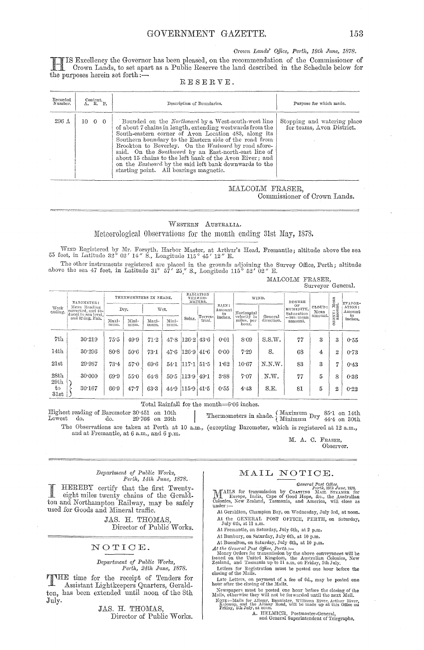*Crown Lands' Office, Perth, 19th June, 1878.* 

HIS Excellency the Governor has been pleased, on the recommendation of the Oommissioner of Orown Lands, to set apart as a Public Reserve the land described in the Schedule below for the purposes herein set forth  $:$ -

### RESERVE.

| Recorded<br>Number. | Content.<br>A. R. P. | Description of Boundaries.                                                                                                                                                                                                                                                                                                                                                                                                                                                                                       | Purpose for which made.                                  |  |  |  |
|---------------------|----------------------|------------------------------------------------------------------------------------------------------------------------------------------------------------------------------------------------------------------------------------------------------------------------------------------------------------------------------------------------------------------------------------------------------------------------------------------------------------------------------------------------------------------|----------------------------------------------------------|--|--|--|
| 296 A               | $10 \quad 0 \quad 0$ | Bounded on the Northward by a West-south-west line<br>of about 7 chains in length, extending westwards from the<br>South-eastern corner of Avon Location 483, along its<br>Southern boundary to the Eastern side of the road from<br>Brookton to Beverley. On the Westward by road afore-<br>said. On the Southward by an East-north-east line of<br>about 15 chains to the left bank of the Ayon River; and<br>on the Eastward by the said left bank downwards to the<br>starting point. All bearings magnetic. | Stopping and watering place<br>for teams. Avon District. |  |  |  |

MALCOLM FRASER, Oommissioner of Orown Lands.

WESTERN AUSTRALIA. Meteorological Observations for the month ending 31st May, 1878.

WIND Registered by Mr. Forsyth, Harbor Master, at Arthur's Head, Fremantle; altitude above the sea 55 feet, in Latitude 32° 02' 14" S., Longitude 115 ° 45' 12" E.

The other instruments registered are placed in the grounds adjoining the Survey Office, Perth; altitude above the sea 47 feet, in Latitude 31° 57' 25<sup>"</sup> S., Longitude 115° 52' 02" E.

MALCOLM FRASER, Surveyor General.

| BAROMETER:<br>Mean Reading<br>corrected, and re-<br>duced to sea level.<br>and 32 deg. Fah. | THERMOMETERS IN SHADE. |               |               | RADIATION<br>THERMO-<br>METERS. |        |                | WIND.                    |                             | DEGREE     |                         |                | EVAPOR-              |                                 |
|---------------------------------------------------------------------------------------------|------------------------|---------------|---------------|---------------------------------|--------|----------------|--------------------------|-----------------------------|------------|-------------------------|----------------|----------------------|---------------------------------|
|                                                                                             | Dry.                   |               | Wet.          |                                 |        |                | Amount<br>in             | Horizontal                  |            | Saturation              | CLOUD:<br>Mean | ńд<br>.              | ATION:<br>$_{\rm Amount}$<br>in |
|                                                                                             | Maxi-<br>mum.          | Mini-<br>mum. | Maxi-<br>mum. | Mini-<br>mum.                   | Solar. | trial.         |                          | miles, per<br>hour.         | direction. | ==100 : mean<br>amount, |                | ಂದ<br>Ń<br>Ō         | inches.                         |
| 30.219                                                                                      | 75.5                   | 49.9          | 71.2          | 47.8                            |        | 43.6           | 0.01                     | 8.09                        | S.S.W.     | 77                      | 3              | 3                    | 0.55                            |
| 30.296                                                                                      | 80.8                   | 50.6          | 73.1          | 47.6                            | 126.9  | 41.6           | 0.00                     | 7.29                        | S.         | 68                      | 4              | 2                    | 0.73                            |
| 29.987                                                                                      | 73.4                   | 57.0          | 69.6          | 54.1                            |        | 51.5           | 1.62                     | 10.67                       | N.N.W.     | 83                      | 3              | 17                   | 0.43                            |
| 30.000                                                                                      | 69.9                   | 55.0          | 64.8          | 50.5                            |        |                | 3.88                     | 7.07                        | N.W.       | 77                      | 5              | 8                    | 0.36                            |
| 30.167                                                                                      | 66.9                   | 47.7          | 63.3          | 44.9                            |        | 41.5           | 0.55                     | 4:43                        | S.E.       | 81                      | 5              | $\mathbf{2}$         | 0.22                            |
|                                                                                             |                        |               |               |                                 |        | 117.1<br>115.9 | $126 - 2$<br> 113.9 49.1 | RAIN:<br>Terres-<br>inches. |            | velocity in<br>General  | oв             | HUMIDITY,<br>amount. | ican<br>L<br><b>NE</b>          |

Total Rainfall for the month=6.06 inches.

Highest reading of Barometer BO'451 on 10th  $\begin{array}{l|l} \text{Sarometer 30:451 on 10th} & \text{Thermometers in shade.} \left\{ \text{Maximum Dry } 85:1 \text{ on 14th} \right. \\ \text{No.} & 29:766 \text{ on 26th} & \text{Thermometers in shade.} \left\{ \text{Minimum Dry } 44:4 \text{ on 30th} \right. \\ \end{array}$ The Observations are taken at Perth at 10 a.m., (excepting Barometer, which is registered at 12 a.m., and at Fremantle, at 6 a.m., and 6 p.m.

M. A. C. FRASER,

Observer.

#### $Department of Public Works,$ *Peyth> 14th June> 1878.*

HEREBY certify that the first Twentyeight miles twenty chains of the Geraldton and Northampton Railway, may be safely used for Goods and Mineral traffic.

> JAS. H. THOMAS, Director of Public Works.

### NOTICE.

# *Department of Public Works,*<br> *Perth, 24th June, 1878.*

THE time for the receipt of Tenders for<br>Assistant Lightlesoney Quarters Geneld Assistant Lightkeepers Quarters, Gera1dton, has been extended until noon of the 8th July.

> JAS. H. THOMAS, Director of Public Works.

# MAIL NOTICE.

General Post Qfllce. Perth, HlU" *.rune,* 1878.

MAILS for transmission by CoA3TING MAIL STEAMER for 'Lillah, Cape of Good Hope, &c., the Australian Colonies, New Zealand, Tasmania, and America, will close as under:--

- At Geraldton, Champion Bay, on Wednesday, July 3rd, at noon. At the GEXERAL POST OFFICE, PERTH, on Saturday, July 6th, at 11 a.m.
- At Fremantle, on Saturday, July 6th, at 2 p.m.
- At Bunbury, on Saturday, July 6th, at 10 p.m.
- 
- 
- At Busselton, on Saturday, July 6th, at 10 p.m.<br>At the General Post Office, Perth. —<br>Money Orders for transmission by the above conveyances will be<br>isomed on the United Kingdom, the Australian Colonies, New<br>Zealand, and T
- Letters for Registration must be posted one hour before the closing of the Mails.
- Late Letters, on payment of a fee of 6d., may be posted one hour after the closing of the Mails.
- 
- Newspapers must be posted one hour before the closing of the Mails, otherwise they will not be forwarded until the next Mail.<br>More :—Mails for Albany, Bannister, Williams River, Arthur River, Kolonip, and the Albany Road,

M. HELMICH, Postmaster-General, and General Superintendent of Telegraphs.